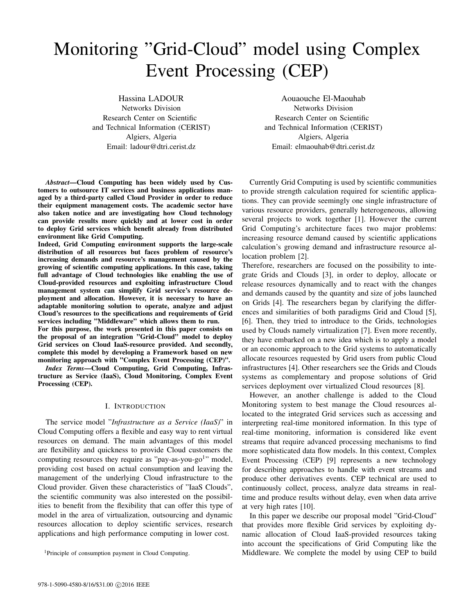# Monitoring "Grid-Cloud" model using Complex Event Processing (CEP)

Hassina LADOUR Networks Division Research Center on Scientific and Technical Information (CERIST) Algiers, Algeria Email: ladour@dtri.cerist.dz

*Abstract*—Cloud Computing has been widely used by Customers to outsource IT services and business applications managed by a third-party called Cloud Provider in order to reduce their equipment management costs. The academic sector have also taken notice and are investigating how Cloud technology can provide results more quickly and at lower cost in order to deploy Grid services which benefit already from distributed environment like Grid Computing.

Indeed, Grid Computing environment supports the large-scale distribution of all resources but faces problem of resource's increasing demands and resource's management caused by the growing of scientific computing applications. In this case, taking full advantage of Cloud technologies like enabling the use of Cloud-provided resources and exploiting infrastructure Cloud management system can simplify Grid service's resource deployment and allocation. However, it is necessary to have an adaptable monitoring solution to operate, analyze and adjust Cloud's resources to the specifications and requirements of Grid services including "Middleware" which allows them to run.

For this purpose, the work presented in this paper consists on the proposal of an integration "Grid-Cloud" model to deploy Grid services on Cloud IaaS-resource provided. And secondly, complete this model by developing a Framework based on new monitoring approach with "Complex Event Processing (CEP)".

*Index Terms*—Cloud Computing, Grid Computing, Infrastructure as Service (IaaS), Cloud Monitoring, Complex Event Processing (CEP).

#### I. INTRODUCTION

The service model "*Infrastructure as a Service (IaaS)*" in Cloud Computing offers a flexible and easy way to rent virtual resources on demand. The main advantages of this model are flexibility and quickness to provide Cloud customers the computing resources they require as "pay-as-you-go<sup>1</sup>" model, providing cost based on actual consumption and leaving the management of the underlying Cloud infrastructure to the Cloud provider. Given these characteristics of "IaaS Clouds", the scientific community was also interested on the possibilities to benefit from the flexibility that can offer this type of model in the area of virtualization, outsourcing and dynamic resources allocation to deploy scientific services, research applications and high performance computing in lower cost.

Aouaouche El-Maouhab Networks Division Research Center on Scientific and Technical Information (CERIST) Algiers, Algeria Email: elmaouhab@dtri.cerist.dz

Currently Grid Computing is used by scientific communities to provide strength calculation required for scientific applications. They can provide seemingly one single infrastructure of various resource providers, generally heterogeneous, allowing several projects to work together [1]. However the current Grid Computing's architecture faces two major problems: increasing resource demand caused by scientific applications calculation's growing demand and infrastructure resource allocation problem [2].

Therefore, researchers are focused on the possibility to integrate Grids and Clouds [3], in order to deploy, allocate or release resources dynamically and to react with the changes and demands caused by the quantity and size of jobs launched on Grids [4]. The researchers began by clarifying the differences and similarities of both paradigms Grid and Cloud [5], [6]. Then, they tried to introduce to the Grids, technologies used by Clouds namely virtualization [7]. Even more recently, they have embarked on a new idea which is to apply a model or an economic approach to the Grid systems to automatically allocate resources requested by Grid users from public Cloud infrastructures [4]. Other researchers see the Grids and Clouds systems as complementary and propose solutions of Grid services deployment over virtualized Cloud resources [8].

However, an another challenge is added to the Cloud Monitoring system to best manage the Cloud resources allocated to the integrated Grid services such as accessing and interpreting real-time monitored information. In this type of real-time monitoring, information is considered like event streams that require advanced processing mechanisms to find more sophisticated data flow models. In this context, Complex Event Processing (CEP) [9] represents a new technology for describing approaches to handle with event streams and produce other derivatives events. CEP technical are used to continuously collect, process, analyze data streams in realtime and produce results without delay, even when data arrive at very high rates [10].

In this paper we describe our proposal model "Grid-Cloud" that provides more flexible Grid services by exploiting dynamic allocation of Cloud IaaS-provided resources taking into account the specifications of Grid Computing like the Middleware. We complete the model by using CEP to build

<sup>1</sup>Principle of consumption payment in Cloud Computing.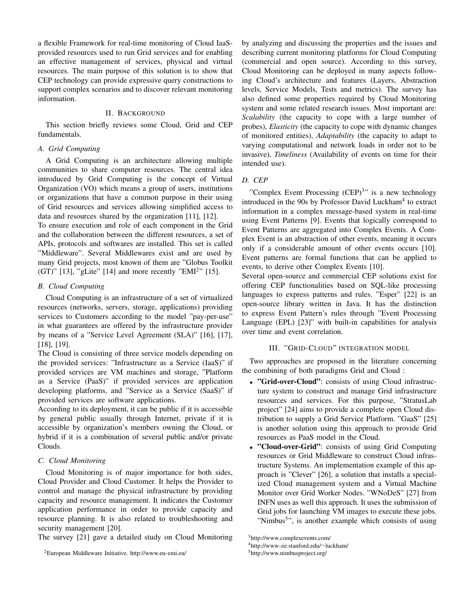a flexible Framework for real-time monitoring of Cloud IaaSprovided resources used to run Grid services and for enabling an effective management of services, physical and virtual resources. The main purpose of this solution is to show that CEP technology can provide expressive query constructions to support complex scenarios and to discover relevant monitoring information.

## II. BACKGROUND

This section briefly reviews some Cloud, Grid and CEP fundamentals.

#### *A. Grid Computing*

A Grid Computing is an architecture allowing multiple communities to share computer resources. The central idea introduced by Grid Computing is the concept of Virtual Organization (VO) which means a group of users, institutions or organizations that have a common purpose in their using of Grid resources and services allowing simplified access to data and resources shared by the organization [11], [12].

To ensure execution and role of each component in the Grid and the collaboration between the different resources, a set of APIs, protocols and softwares are installed. This set is called "Middleware". Several Middlewares exist and are used by many Grid projects, most known of them are "Globus Toolkit (GT)" [13], "gLite" [14] and more recently "EMI<sup>2</sup>" [15].

## *B. Cloud Computing*

Cloud Computing is an infrastructure of a set of virtualized resources (networks, servers, storage, applications) providing services to Customers according to the model "pay-per-use" in what guarantees are offered by the infrastructure provider by means of a "Service Level Agreement (SLA)" [16], [17], [18], [19].

The Cloud is consisting of three service models depending on the provided services: "Infrastructure as a Service (IaaS)" if provided services are VM machines and storage, "Platform as a Service (PaaS)" if provided services are application developing platforms, and "Service as a Service (SaaS)" if provided services are software applications.

According to its deployment, it can be public if it is accessible by general public usually through Internet, private if it is accessible by organization's members owning the Cloud, or hybrid if it is a combination of several public and/or private Clouds.

## *C. Cloud Monitoring*

Cloud Monitoring is of major importance for both sides, Cloud Provider and Cloud Customer. It helps the Provider to control and manage the physical infrastructure by providing capacity and resource management. It indicates the Customer application performance in order to provide capacity and resource planning. It is also related to troubleshooting and security management [20].

The survey [21] gave a detailed study on Cloud Monitoring

by analyzing and discussing the properties and the issues and describing current monitoring platforms for Cloud Computing (commercial and open source). According to this survey, Cloud Monitoring can be deployed in many aspects following Cloud's architecture and features (Layers, Abstraction levels, Service Models, Tests and metrics). The survey has also defined some properties required by Cloud Monitoring system and some related research issues. Most important are: *Scalability* (the capacity to cope with a large number of probes), *Elasticity* (the capacity to cope with dynamic changes of monitored entities), *Adaptability* (the capacity to adapt to varying computational and network loads in order not to be invasive), *Timeliness* (Availability of events on time for their intended use).

## *D. CEP*

"Complex Event Processing (CEP)<sup>3</sup>" is a new technology introduced in the 90s by Professor David Luckham<sup>4</sup> to extract information in a complex message-based system in real-time using Event Patterns [9]. Events that logically correspond to Event Patterns are aggregated into Complex Events. A Complex Event is an abstraction of other events, meaning it occurs only if a considerable amount of other events occurs [10]. Event patterns are formal functions that can be applied to events, to derive other Complex Events [10].

Several open-source and commercial CEP solutions exist for offering CEP functionalities based on SQL-like processing languages to express patterns and rules. "Esper" [22] is an open-source library written in Java. It has the distinction to express Event Pattern's rules through "Event Processing Language (EPL) [23]" with built-in capabilities for analysis over time and event correlation.

#### III. "GRID-CLOUD" INTEGRATION MODEL

Two approaches are proposed in the literature concerning the combining of both paradigms Grid and Cloud :

- "Grid-over-Cloud": consists of using Cloud infrastructure system to construct and manage Grid infrastructure resources and services. For this purpose, "StratusLab project" [24] aims to provide a complete open Cloud distribution to supply a Grid Service Platform. "GaaS" [25] is another solution using this approach to provide Grid resources as PaaS model in the Cloud.
- "Cloud-over-Grid": consists of using Grid Computing resources or Grid Middleware to construct Cloud infrastructure Systems. An implementation example of this approach is "Clever" [26], a solution that installs a specialized Cloud management system and a Virtual Machine Monitor over Grid Worker Nodes. "WNoDeS" [27] from INFN uses as well this approach. It uses the submission of Grid jobs for launching VM images to execute these jobs. "Nimbus<sup>5</sup>", is another example which consists of using

<sup>2</sup>European Middleware Initiative. http://www.eu-emi.eu/

<sup>3</sup>http://www.complexevents.com/

<sup>4</sup>http://www-ee.stanford.edu/∼luckham/

<sup>5</sup>http://www.nimbusproject.org/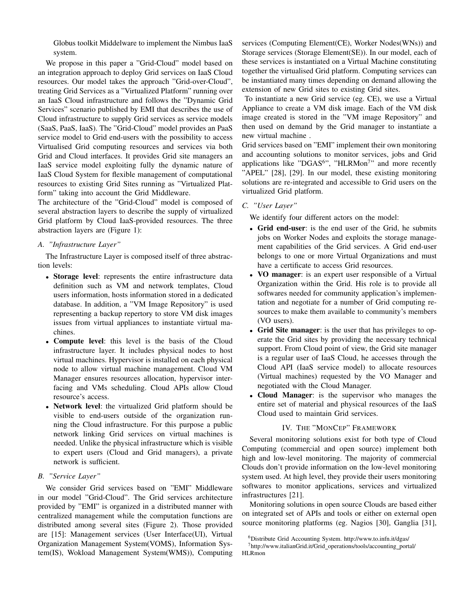Globus toolkit Middelware to implement the Nimbus IaaS system.

We propose in this paper a "Grid-Cloud" model based on an integration approach to deploy Grid services on IaaS Cloud resources. Our model takes the approach "Grid-over-Cloud", treating Grid Services as a "Virtualized Platform" running over an IaaS Cloud infrastructure and follows the "Dynamic Grid Services" scenario published by EMI that describes the use of Cloud infrastructure to supply Grid services as service models (SaaS, PaaS, IaaS). The "Grid-Cloud" model provides an PaaS service model to Grid end-users with the possibility to access Virtualised Grid computing resources and services via both Grid and Cloud interfaces. It provides Grid site managers an IaaS service model exploiting fully the dynamic nature of IaaS Cloud System for flexible management of computational resources to existing Grid Sites running as "Virtualized Platform" taking into account the Grid Middleware.

The architecture of the "Grid-Cloud" model is composed of several abstraction layers to describe the supply of virtualized Grid platform by Cloud IaaS-provided resources. The three abstraction layers are (Figure 1):

## *A. "Infrastructure Layer"*

The Infrastructure Layer is composed itself of three abstraction levels:

- Storage level: represents the entire infrastructure data definition such as VM and network templates, Cloud users information, hosts information stored in a dedicated database. In addition, a "VM Image Repository" is used representing a backup repertory to store VM disk images issues from virtual appliances to instantiate virtual machines.
- Compute level: this level is the basis of the Cloud infrastructure layer. It includes physical nodes to host virtual machines. Hypervisor is installed on each physical node to allow virtual machine management. Cloud VM Manager ensures resources allocation, hypervisor interfacing and VMs scheduling. Cloud APIs allow Cloud resource's access.
- Network level: the virtualized Grid platform should be visible to end-users outside of the organization running the Cloud infrastructure. For this purpose a public network linking Grid services on virtual machines is needed. Unlike the physical infrastructure which is visible to expert users (Cloud and Grid managers), a private network is sufficient.

## *B. "Service Layer"*

We consider Grid services based on "EMI" Middleware in our model "Grid-Cloud". The Grid services architecture provided by "EMI" is organized in a distributed manner with centralized management while the computation functions are distributed among several sites (Figure 2). Those provided are [15]: Management services (User Interface(UI), Virtual Organization Management System(VOMS), Information System(IS), Wokload Management System(WMS)), Computing services (Computing Element(CE), Worker Nodes(WNs)) and Storage services (Storage Element(SE)). In our model, each of these services is instantiated on a Virtual Machine constituting together the virtualised Grid platform. Computing services can be instantiated many times depending on demand allowing the extension of new Grid sites to existing Grid sites.

To instantiate a new Grid service (eg. CE), we use a Virtual Appliance to create a VM disk image. Each of the VM disk image created is stored in the "VM image Repository" and then used on demand by the Grid manager to instantiate a new virtual machine .

Grid services based on "EMI" implement their own monitoring and accounting solutions to monitor services, jobs and Grid applications like "DGAS<sup>6</sup>", "HLRMon<sup>7</sup>" and more recently "APEL" [28], [29]. In our model, these existing monitoring solutions are re-integrated and accessible to Grid users on the virtualized Grid platform.

# *C. "User Layer"*

We identify four different actors on the model:

- Grid end-user: is the end user of the Grid, he submits jobs on Worker Nodes and exploits the storage management capabilities of the Grid services. A Grid end-user belongs to one or more Virtual Organizations and must have a certificate to access Grid resources.
- VO manager: is an expert user responsible of a Virtual Organization within the Grid. His role is to provide all softwares needed for community application's implementation and negotiate for a number of Grid computing resources to make them available to community's members (VO users).
- Grid Site manager: is the user that has privileges to operate the Grid sites by providing the necessary technical support. From Cloud point of view, the Grid site manager is a regular user of IaaS Cloud, he accesses through the Cloud API (IaaS service model) to allocate resources (Virtual machines) requested by the VO Manager and negotiated with the Cloud Manager.
- Cloud Manager: is the supervisor who manages the entire set of material and physical resources of the IaaS Cloud used to maintain Grid services.

# IV. THE "MONCEP" FRAMEWORK

Several monitoring solutions exist for both type of Cloud Computing (commercial and open source) implement both high and low-level monitoring. The majority of commercial Clouds don't provide information on the low-level monitoring system used. At high level, they provide their users monitoring softwares to monitor applications, services and virtualized infrastructures [21].

Monitoring solutions in open source Clouds are based either on integrated set of APIs and tools or either on external open source monitoring platforms (eg. Nagios [30], Ganglia [31],

<sup>6</sup>Distribute Grid Accounting System. http://www.to.infn.it/dgas/

 $7$ http://www.italianGrid.it/Grid\_operations/tools/accounting\_portal/ HLRmon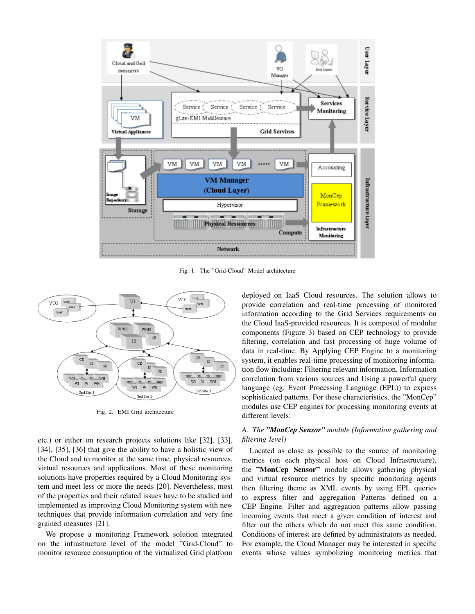

Fig. 1. The "Grid-Cloud" Model architecture



Fig. 2. EMI Grid architecture

etc.) or either on research projects solutions like [32], [33], [34], [35], [36] that give the ability to have a holistic view of the Cloud and to monitor at the same time, physical resources, virtual resources and applications. Most of these monitoring solutions have properties required by a Cloud Monitoring system and meet less or more the needs [20]. Nevertheless, most of the properties and their related issues have to be studied and implemented as improving Cloud Monitoring system with new techniques that provide information correlation and very fine grained measures [21].

We propose a monitoring Framework solution integrated on the infrastructure level of the model "Grid-Cloud" to monitor resource consumption of the virtualized Grid platform deployed on IaaS Cloud resources. The solution allows to provide correlation and real-time processing of monitored information according to the Grid Services requirements on the Cloud IaaS-provided resources. It is composed of modular components (Figure 3) based on CEP technology to provide filtering, correlation and fast processing of huge volume of data in real-time. By Applying CEP Engine to a monitoring system, it enables real-time processing of monitoring information flow including: Filtering relevant information, Information correlation from various sources and Using a powerful query language (eg. Event Processing Language (EPL)) to express sophisticated patterns. For these characteristics, the "MonCep" modules use CEP engines for processing monitoring events at different levels:

## *A. The "MonCep Sensor" module (Information gathering and filtering level)*

Located as close as possible to the source of monitoring metrics (on each physical host on Cloud Infrastructure), the "MonCep Sensor" module allows gathering physical and virtual resource metrics by specific monitoring agents then filtering theme as XML events by using EPL queries to express filter and aggregation Patterns defined on a CEP Engine. Filter and aggregation patterns allow passing incoming events that meet a given condition of interest and filter out the others which do not meet this same condition. Conditions of interest are defined by administrators as needed. For example, the Cloud Manager may be interested in specific events whose values symbolizing monitoring metrics that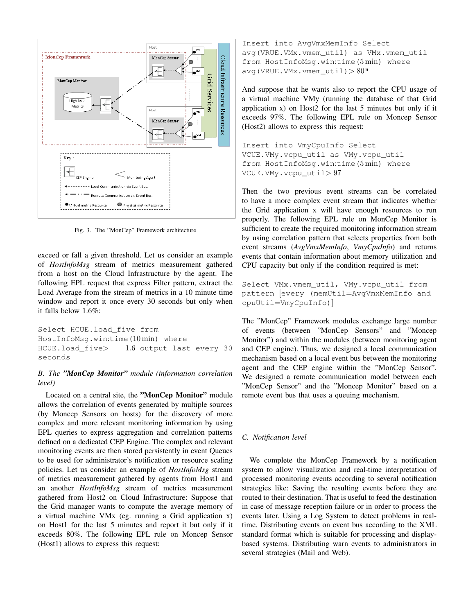

Fig. 3. The "MonCep" Framework architecture

exceed or fall a given threshold. Let us consider an example of *HostInfoMsg* stream of metrics measurement gathered from a host on the Cloud Infrastructure by the agent. The following EPL request that express Filter pattern, extract the Load Average from the stream of metrics in a 10 minute time window and report it once every 30 seconds but only when it falls below 1.6%:

Select HCUE.load\_five from HostInfoMsg.win:time(10 min) where HCUE.load\_five> 1.6 output last every 30 seconds

## *B. The "MonCep Monitor" module (information correlation level)*

Located on a central site, the "MonCep Monitor" module allows the correlation of events generated by multiple sources (by Moncep Sensors on hosts) for the discovery of more complex and more relevant monitoring information by using EPL queries to express aggregation and correlation patterns defined on a dedicated CEP Engine. The complex and relevant monitoring events are then stored persistently in event Queues to be used for administrator's notification or resource scaling policies. Let us consider an example of *HostInfoMsg* stream of metrics measurement gathered by agents from Host1 and an another *HostInfoMsg* stream of metrics measurement gathered from Host2 on Cloud Infrastructure: Suppose that the Grid manager wants to compute the average memory of a virtual machine VMx (eg. running a Grid application x) on Host1 for the last 5 minutes and report it but only if it exceeds 80%. The following EPL rule on Moncep Sensor (Host1) allows to express this request:

Insert into AvgVmxMemInfo Select avg(VRUE.VMx.vmem\_util) as VMx.vmem\_util from HostInfoMsg.win:time(5 min) where avg(VRUE.VMx.vmem  $util) > 80"$ 

And suppose that he wants also to report the CPU usage of a virtual machine VMy (running the database of that Grid application x) on Host2 for the last 5 minutes but only if it exceeds 97%. The following EPL rule on Moncep Sensor (Host2) allows to express this request:

Insert into VmyCpuInfo Select VCUE.VMy.vcpu\_util as VMy.vcpu\_util from HostInfoMsg.win:time(5 min) where VCUE.VMy.vcpu\_util> 97

Then the two previous event streams can be correlated to have a more complex event stream that indicates whether the Grid application x will have enough resources to run properly. The following EPL rule on MonCep Monitor is sufficient to create the required monitoring information stream by using correlation pattern that selects properties from both event streams (*AvgVmxMemInfo*, *VmyCpuInfo*) and returns events that contain information about memory utilization and CPU capacity but only if the condition required is met:

```
Select VMx.vmem_util, VMy.vcpu_util from
pattern [every (memUtil=AvgVmxMemInfo and
cpuUtil=VmyCpuInfo)]
```
The "MonCep" Framework modules exchange large number of events (between "MonCep Sensors" and "Moncep Monitor") and within the modules (between monitoring agent and CEP engine). Thus, we designed a local communication mechanism based on a local event bus between the monitoring agent and the CEP engine within the "MonCep Sensor". We designed a remote communication model between each "MonCep Sensor" and the "Moncep Monitor" based on a remote event bus that uses a queuing mechanism.

### *C. Notification level*

We complete the MonCep Framework by a notification system to allow visualization and real-time interpretation of processed monitoring events according to several notification strategies like: Saving the resulting events before they are routed to their destination. That is useful to feed the destination in case of message reception failure or in order to process the events later. Using a Log System to detect problems in realtime. Distributing events on event bus according to the XML standard format which is suitable for processing and displaybased systems. Distributing warn events to administrators in several strategies (Mail and Web).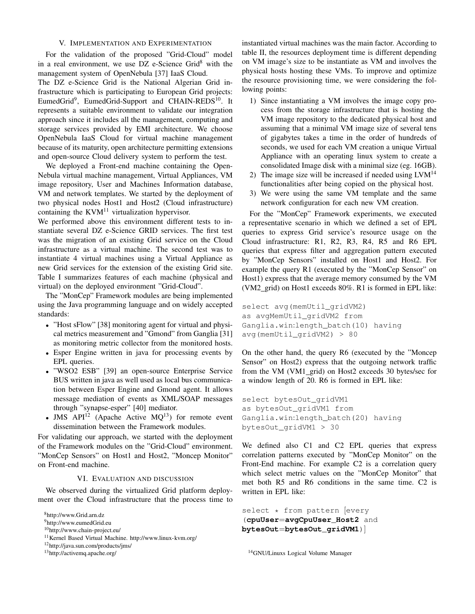#### V. IMPLEMENTATION AND EXPERIMENTATION

For the validation of the proposed "Grid-Cloud" model in a real environment, we use  $DZ$  e-Science Grid<sup>8</sup> with the management system of OpenNebula [37] IaaS Cloud.

The DZ e-Science Grid is the National Algerian Grid infrastructure which is participating to European Grid projects: EumedGrid<sup>9</sup>, EumedGrid-Support and CHAIN-REDS<sup>10</sup>. It represents a suitable environment to validate our integration approach since it includes all the management, computing and storage services provided by EMI architecture. We choose OpenNebula IaaS Cloud for virtual machine management because of its maturity, open architecture permitting extensions and open-source Cloud delivery system to perform the test.

We deployed a Front-end machine containing the Open-Nebula virtual machine management, Virtual Appliances, VM image repository, User and Machines Information database, VM and network templates. We started by the deployment of two physical nodes Host1 and Host2 (Cloud infrastructure) containing the  $KVM<sup>11</sup>$  virtualization hypervisor.

We performed above this environment different tests to instantiate several DZ e-Science GRID services. The first test was the migration of an existing Grid service on the Cloud infrastructure as a virtual machine. The second test was to instantiate 4 virtual machines using a Virtual Appliance as new Grid services for the extension of the existing Grid site. Table I summarizes features of each machine (physical and virtual) on the deployed environment "Grid-Cloud".

The "MonCep" Framework modules are being implemented using the Java programming language and on widely accepted standards:

- "Host sFlow" [38] monitoring agent for virtual and physical metrics measurement and "Gmond" from Ganglia [31] as monitoring metric collector from the monitored hosts.
- Esper Engine written in java for processing events by EPL queries.
- "WSO2 ESB" [39] an open-source Enterprise Service BUS written in java as well used as local bus communication between Esper Engine and Gmond agent. It allows message mediation of events as XML/SOAP messages through "synapse-esper" [40] mediator.
- JMS  $API^{12}$  (Apache Active  $MQ^{13}$ ) for remote event dissemination between the Framework modules.

For validating our approach, we started with the deployment of the Framework modules on the "Grid-Cloud" environment. "MonCep Sensors" on Host1 and Host2, "Moncep Monitor" on Front-end machine.

## VI. EVALUATION AND DISCUSSION

We observed during the virtualized Grid platform deployment over the Cloud infrastructure that the process time to

<sup>8</sup>http://www.Grid.arn.dz

```
12http://java.sun.com/products/jms/
```
<sup>13</sup>http://activemq.apache.org/

instantiated virtual machines was the main factor. According to table II, the resources deployment time is different depending on VM image's size to be instantiate as VM and involves the physical hosts hosting these VMs. To improve and optimize the resource provisioning time, we were considering the following points:

- 1) Since instantiating a VM involves the image copy process from the storage infrastructure that is hosting the VM image repository to the dedicated physical host and assuming that a minimal VM image size of several tens of gigabytes takes a time in the order of hundreds of seconds, we used for each VM creation a unique Virtual Appliance with an operating linux system to create a consolidated Image disk with a minimal size (eg. 16GB).
- 2) The image size will be increased if needed using  $LVM<sup>14</sup>$ functionalities after being copied on the physical host.
- 3) We were using the same VM template and the same network configuration for each new VM creation.

For the "MonCep" Framework experiments, we executed a representative scenario in which we defined a set of EPL queries to express Grid service's resource usage on the Cloud infrastructure: R1, R2, R3, R4, R5 and R6 EPL queries that express filter and aggregation pattern executed by "MonCep Sensors" installed on Host1 and Host2. For example the query R1 (executed by the "MonCep Sensor" on Host1) express that the average memory consumed by the VM (VM2 grid) on Host1 exceeds 80%. R1 is formed in EPL like:

```
select avg(memUtil_gridVM2)
as avgMemUtil_gridVM2 from
Ganglia.win:length_batch(10) having
avg(memUtil_gridVM2) > 80
```
On the other hand, the query R6 (executed by the "Moncep Sensor" on Host2) express that the outgoing network traffic from the VM (VM1\_grid) on Host2 exceeds 30 bytes/sec for a window length of 20. R6 is formed in EPL like:

```
select bytesOut_gridVM1
as bytesOut_gridVM1 from
Ganglia.win:length_batch(20) having
bytesOut_gridVM1 > 30
```
We defined also C1 and C2 EPL queries that express correlation patterns executed by "MonCep Monitor" on the Front-End machine. For example C2 is a correlation query which select metric values on the "MonCep Monitor" that met both R5 and R6 conditions in the same time. C2 is written in EPL like:

```
select * from pattern [every
(cpuUser=avgCpuUser_Host2 and
bytesOut=bytesOut_gridVM1)]
```
<sup>14</sup>GNU/Linuxs Logical Volume Manager

<sup>9</sup>http://www.eumedGrid.eu

<sup>10</sup>http://www.chain-project.eu/

<sup>&</sup>lt;sup>11</sup>Kernel Based Virtual Machine. http://www.linux-kvm.org/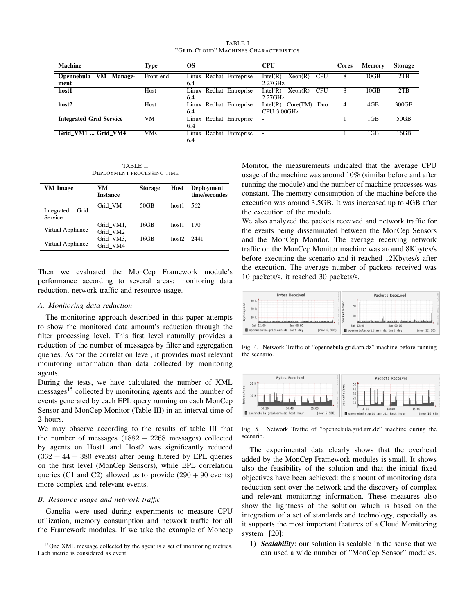| TABLE I |                                       |
|---------|---------------------------------------|
|         | "Grid-Cloud" Machines Characteristics |

| <b>Machine</b>                                    | Type       | <b>OS</b>                         | CPU                                             | <b>Cores</b> | <b>Memory</b> | <b>Storage</b> |
|---------------------------------------------------|------------|-----------------------------------|-------------------------------------------------|--------------|---------------|----------------|
| VМ<br><b>Opennebula</b><br><b>Manage-</b><br>ment | Front-end  | Linux Redhat Entreprise<br>6.4    | Intel(R)<br>Xeon(R)<br><b>CPU</b><br>$2.27$ GHz | 8            | 10GB          | 2TB            |
| host1                                             | Host       | Linux Redhat Entreprise<br>6.4    | Intel(R)<br>Xeon(R)<br><b>CPU</b><br>$2.27$ GHz | 8            | 10GB          | 2TB            |
| host2                                             | Host       | Linux Redhat Entreprise<br>6.4    | Intel(R) Core(TM)<br>Duo<br>CPU 3.00GHz         | 4            | 4GB           | 300GB          |
| <b>Integrated Grid Service</b>                    | VM         | Linux Redhat Entreprise<br>6.4    |                                                 |              | 1GB           | 50GB           |
| Grid VM1  Grid VM4                                | <b>VMs</b> | Redhat Entreprise<br>Linux<br>6.4 |                                                 |              | 1GB           | 16GB           |

TABLE II DEPLOYMENT PROCESSING TIME

| VM Image                      | VМ<br>Instance        | <b>Storage</b> | Host              | <b>Deployment</b><br>time/secondes |
|-------------------------------|-----------------------|----------------|-------------------|------------------------------------|
| Grid<br>Integrated<br>Service | Grid VM               | 50GB           | host1             | 562                                |
| Virtual Appliance             | Grid VM1,<br>Grid VM2 | 16GB           | host1             | 170                                |
| Virtual Appliance             | Grid VM3,<br>Grid VM4 | 16GB           | host <sub>2</sub> | 2441                               |

Then we evaluated the MonCep Framework module's performance according to several areas: monitoring data reduction, network traffic and resource usage.

## *A. Monitoring data reduction*

The monitoring approach described in this paper attempts to show the monitored data amount's reduction through the filter processing level. This first level naturally provides a reduction of the number of messages by filter and aggregation queries. As for the correlation level, it provides most relevant monitoring information than data collected by monitoring agents.

During the tests, we have calculated the number of XML messages<sup>15</sup> collected by monitoring agents and the number of events generated by each EPL query running on each MonCep Sensor and MonCep Monitor (Table III) in an interval time of 2 hours.

We may observe according to the results of table III that the number of messages  $(1882 + 2268$  messages) collected by agents on Host1 and Host2 was significantly reduced  $(362 + 44 + 380$  events) after being filtered by EPL queries on the first level (MonCep Sensors), while EPL correlation queries (C1 and C2) allowed us to provide  $(290 + 90$  events) more complex and relevant events.

## *B. Resource usage and network traffic*

Ganglia were used during experiments to measure CPU utilization, memory consumption and network traffic for all the Framework modules. If we take the example of Moncep

<sup>15</sup>One XML message collected by the agent is a set of monitoring metrics. Each metric is considered as event.

Monitor, the measurements indicated that the average CPU usage of the machine was around 10% (similar before and after running the module) and the number of machine processes was constant. The memory consumption of the machine before the execution was around 3.5GB. It was increased up to 4GB after the execution of the module.

We also analyzed the packets received and network traffic for the events being disseminated between the MonCep Sensors and the MonCep Monitor. The average receiving network traffic on the MonCep Monitor machine was around 8Kbytes/s before executing the scenario and it reached 12Kbytes/s after the execution. The average number of packets received was 10 packets/s, it reached 30 packets/s.



Fig. 4. Network Traffic of "opennebula.grid.arn.dz" machine before running the scenario.



Fig. 5. Network Traffic of "opennebula.grid.arn.dz" machine during the scenario.

The experimental data clearly shows that the overhead added by the MonCep Framework modules is small. It shows also the feasibility of the solution and that the initial fixed objectives have been achieved: the amount of monitoring data reduction sent over the network and the discovery of complex and relevant monitoring information. These measures also show the lightness of the solution which is based on the integration of a set of standards and technology, especially as it supports the most important features of a Cloud Monitoring system [20]:

1) *Scalability*: our solution is scalable in the sense that we can used a wide number of "MonCep Sensor" modules.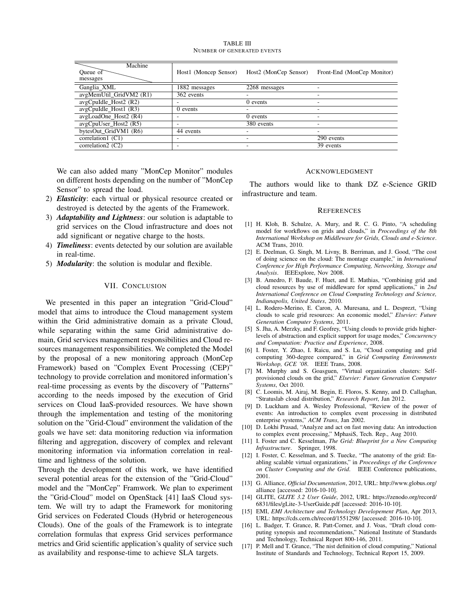TABLE III NUMBER OF GENERATED EVENTS

| Machine<br>Queue of<br>messages | Host1 (Moncep Sensor) | Host2 (MonCep Sensor) | Front-End (MonCep Monitor) |
|---------------------------------|-----------------------|-----------------------|----------------------------|
| Ganglia XML                     | 1882 messages         | 2268 messages         |                            |
| avgMemUtil GridVM2 (R1)         | 362 events            |                       |                            |
| avgCpuIdle_Host2 (R2)           |                       | 0 events              |                            |
| avgCpuIdle_Host1 (R3)           | 0 events              |                       |                            |
| avgLoadOne Host2 (R4)           |                       | 0 events              |                            |
| avgCpuUser_Host2 (R5)           |                       | 380 events            |                            |
| bytesOut GridVM1 (R6)           | 44 events             |                       |                            |
| correlation1 (C1)               |                       |                       | 290 events                 |
| correlation $2(C2)$             |                       |                       | 39 events                  |

We can also added many "MonCep Monitor" modules on different hosts depending on the number of "MonCep Sensor" to spread the load.

- 2) *Elasticity*: each virtual or physical resource created or destroyed is detected by the agents of the Framework.
- 3) *Adaptability and Lightness*: our solution is adaptable to grid services on the Cloud infrastructure and does not add significant or negative charge to the hosts.
- 4) *Timeliness*: events detected by our solution are available in real-time.
- 5) *Modularity*: the solution is modular and flexible.

## VII. CONCLUSION

We presented in this paper an integration "Grid-Cloud" model that aims to introduce the Cloud management system within the Grid administrative domain as a private Cloud, while separating within the same Grid administrative domain, Grid services management responsibilities and Cloud resources management responsibilities. We completed the Model by the proposal of a new monitoring approach (MonCep Framework) based on "Complex Event Processing (CEP)" technology to provide correlation and monitored information's real-time processing as events by the discovery of "Patterns" according to the needs imposed by the execution of Grid services on Cloud IaaS-provided resources. We have shown through the implementation and testing of the monitoring solution on the "Grid-Cloud" environment the validation of the goals we have set: data monitoring reduction via information filtering and aggregation, discovery of complex and relevant monitoring information via information correlation in realtime and lightness of the solution.

Through the development of this work, we have identified several potential areas for the extension of the "Grid-Cloud" model and the "MonCep" Framwork. We plan to experiment the "Grid-Cloud" model on OpenStack [41] IaaS Cloud system. We will try to adapt the Framework for monitoring Grid services on Federated Clouds (Hybrid or heterogeneous Clouds). One of the goals of the Framework is to integrate correlation formulas that express Grid services performance metrics and Grid scientific application's quality of service such as availability and response-time to achieve SLA targets.

#### ACKNOWLEDGMENT

The authors would like to thank DZ e-Science GRID infrastructure and team.

#### **REFERENCES**

- [1] H. Kloh, B. Schulze, A. Mury, and R. C. G. Pinto, "A scheduling model for workflows on grids and clouds," in *Proceedings of the 8th International Workshop on Middleware for Grids, Clouds and e-Science*. ACM Trans, 2010.
- [2] E. Deelman, G. Singh, M. Livny, B. Berriman, and J. Good, "The cost of doing science on the cloud: The montage example," in *International Conference for High Performance Computing, Networking, Storage and Analysis*. IEEExplore, Nov 2008.
- [3] B. Amedro, F. Baude, F. Huet, and E. Mathias, "Combining grid and cloud resources by use of middleware for spmd applications," in *2nd International Conference on Cloud Computing Technology and Science, Indianapolis, United States*, 2010.
- [4] L. Rodero-Merino, E. Caron, A. Muresana, and L. Desprezt, "Using clouds to scale grid resources: An economic model," *Elsevier: Future Generation Computer Systems*, 2011.
- [5] S. Jha, A. Merzky, and F. Geofrey, "Using clouds to provide grids higherlevels of abstraction and explicit support for usage modes," *Concurrency and Computation: Practice and Experience*, 2008.
- [6] I. Foster, Y. Zhao, I. Raicu, and S. Lu, "Cloud computing and grid computing 360-degree compared," in *Grid Computing Environments Workshop, GCE '08*. IEEE Trans, 2008.
- [7] M. Murphy and S. Goasguen, "Virtual organization clusters: Selfprovisioned clouds on the grid," *Elsevier: Future Generation Computer Systems*, Oct 2010.
- [8] C. Loomis, M. Airaj, M. Begin, E. Floros, S. Kenny, and D. Callaghan, "Stratuslab cloud distribution," *Research Report*, Jan 2012.
- [9] D. Luckham and A. Wesley Professional, "Review of the power of events: An introduction to complex event processing in distributed enterprise systems," *ACM Trans*, Jan 2002.
- [10] D. Lokhi Prasad, "Analyze and act on fast moving data: An introduction to complex event processing," MphasiS, Tech. Rep., Aug 2010.
- [11] I. Foster and C. Kesselman, *The Grid: Blueprint for a New Computing Infrastructure*. Springer, 1998.
- [12] I. Foster, C. Kesselman, and S. Tuecke, "The anatomy of the grid: Enabling scalable virtual organizations," in *Proceedings of the Conference on Cluster Computing and the Grid*. IEEE Conference publications, 2001.
- [13] G. Alliance, *Official Documentation*, 2012, URL: http://www.globus.org/ alliance [accessed: 2016-10-10].
- [14] GLITE, *GLITE 3.2 User Guide*, 2012, URL: https://zenodo.org/record/ 6831/files/gLite-3-UserGuide.pdf [accessed: 2016-10-10].
- [15] EMI, *EMI Architecture and Technology Developement Plan*, Apr 2013, URL: https://cds.cern.ch/record/1551298/ [accessed: 2016-10-10].
- [16] L. Badger, T. Grance, R. Patt-Corner, and J. Voas, "Draft cloud computing synopsis and recommendations," National Institute of Standards and Technology, Technical Report 800-146, 2011.
- [17] P. Mell and T. Grance, "The nist definition of cloud computing," National Institute of Standards and Technology, Technical Report 15, 2009.